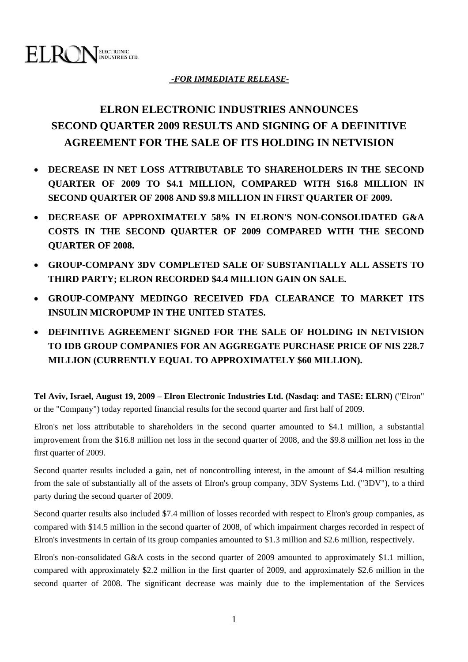

### *-FOR IMMEDIATE RELEASE-*

# **ELRON ELECTRONIC INDUSTRIES ANNOUNCES SECOND QUARTER 2009 RESULTS AND SIGNING OF A DEFINITIVE AGREEMENT FOR THE SALE OF ITS HOLDING IN NETVISION**

- **DECREASE IN NET LOSS ATTRIBUTABLE TO SHAREHOLDERS IN THE SECOND QUARTER OF 2009 TO \$4.1 MILLION, COMPARED WITH \$16.8 MILLION IN SECOND QUARTER OF 2008 AND \$9.8 MILLION IN FIRST QUARTER OF 2009.**
- **DECREASE OF APPROXIMATELY 58% IN ELRON'S NON-CONSOLIDATED G&A COSTS IN THE SECOND QUARTER OF 2009 COMPARED WITH THE SECOND QUARTER OF 2008.**
- **GROUP-COMPANY 3DV COMPLETED SALE OF SUBSTANTIALLY ALL ASSETS TO THIRD PARTY; ELRON RECORDED \$4.4 MILLION GAIN ON SALE.**
- **GROUP-COMPANY MEDINGO RECEIVED FDA CLEARANCE TO MARKET ITS INSULIN MICROPUMP IN THE UNITED STATES.**
- **DEFINITIVE AGREEMENT SIGNED FOR THE SALE OF HOLDING IN NETVISION TO IDB GROUP COMPANIES FOR AN AGGREGATE PURCHASE PRICE OF NIS 228.7 MILLION (CURRENTLY EQUAL TO APPROXIMATELY \$60 MILLION).**

**Tel Aviv, Israel, August 19, 2009 – Elron Electronic Industries Ltd. (Nasdaq: and TASE: ELRN)** ("Elron" or the "Company") today reported financial results for the second quarter and first half of 2009.

Elron's net loss attributable to shareholders in the second quarter amounted to \$4.1 million, a substantial improvement from the \$16.8 million net loss in the second quarter of 2008, and the \$9.8 million net loss in the first quarter of 2009.

Second quarter results included a gain, net of noncontrolling interest, in the amount of \$4.4 million resulting from the sale of substantially all of the assets of Elron's group company, 3DV Systems Ltd. ("3DV"), to a third party during the second quarter of 2009.

Second quarter results also included \$7.4 million of losses recorded with respect to Elron's group companies, as compared with \$14.5 million in the second quarter of 2008, of which impairment charges recorded in respect of Elron's investments in certain of its group companies amounted to \$1.3 million and \$2.6 million, respectively.

Elron's non-consolidated G&A costs in the second quarter of 2009 amounted to approximately \$1.1 million, compared with approximately \$2.2 million in the first quarter of 2009, and approximately \$2.6 million in the second quarter of 2008. The significant decrease was mainly due to the implementation of the Services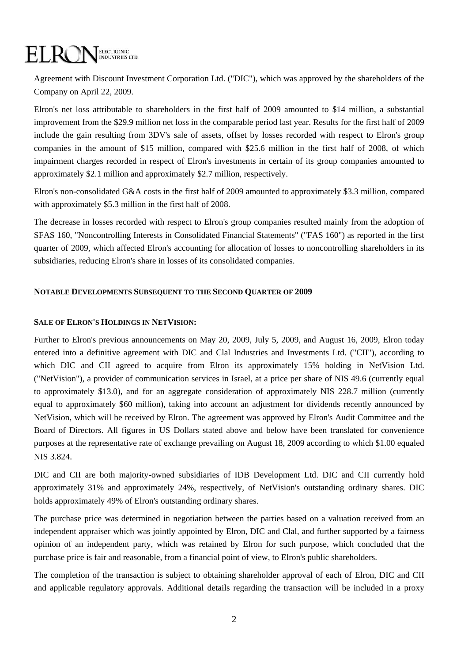### ELROI ELECTRONIC<br>INDUSTRIES LTD.

Agreement with Discount Investment Corporation Ltd. ("DIC"), which was approved by the shareholders of the Company on April 22, 2009.

Elron's net loss attributable to shareholders in the first half of 2009 amounted to \$14 million, a substantial improvement from the \$29.9 million net loss in the comparable period last year. Results for the first half of 2009 include the gain resulting from 3DV's sale of assets, offset by losses recorded with respect to Elron's group companies in the amount of \$15 million, compared with \$25.6 million in the first half of 2008, of which impairment charges recorded in respect of Elron's investments in certain of its group companies amounted to approximately \$2.1 million and approximately \$2.7 million, respectively.

Elron's non-consolidated G&A costs in the first half of 2009 amounted to approximately \$3.3 million, compared with approximately \$5.3 million in the first half of 2008.

The decrease in losses recorded with respect to Elron's group companies resulted mainly from the adoption of SFAS 160, "Noncontrolling Interests in Consolidated Financial Statements" ("FAS 160") as reported in the first quarter of 2009, which affected Elron's accounting for allocation of losses to noncontrolling shareholders in its subsidiaries, reducing Elron's share in losses of its consolidated companies.

#### **NOTABLE DEVELOPMENTS SUBSEQUENT TO THE SECOND QUARTER OF 2009**

#### **SALE OF ELRON'S HOLDINGS IN NETVISION:**

Further to Elron's previous announcements on May 20, 2009, July 5, 2009, and August 16, 2009, Elron today entered into a definitive agreement with DIC and Clal Industries and Investments Ltd. ("CII"), according to which DIC and CII agreed to acquire from Elron its approximately 15% holding in NetVision Ltd. ("NetVision"), a provider of communication services in Israel, at a price per share of NIS 49.6 (currently equal to approximately \$13.0), and for an aggregate consideration of approximately NIS 228.7 million (currently equal to approximately \$60 million), taking into account an adjustment for dividends recently announced by NetVision, which will be received by Elron. The agreement was approved by Elron's Audit Committee and the Board of Directors. All figures in US Dollars stated above and below have been translated for convenience purposes at the representative rate of exchange prevailing on August 18, 2009 according to which \$1.00 equaled NIS 3.824.

DIC and CII are both majority-owned subsidiaries of IDB Development Ltd. DIC and CII currently hold approximately 31% and approximately 24%, respectively, of NetVision's outstanding ordinary shares. DIC holds approximately 49% of Elron's outstanding ordinary shares.

The purchase price was determined in negotiation between the parties based on a valuation received from an independent appraiser which was jointly appointed by Elron, DIC and Clal, and further supported by a fairness opinion of an independent party, which was retained by Elron for such purpose, which concluded that the purchase price is fair and reasonable, from a financial point of view, to Elron's public shareholders.

The completion of the transaction is subject to obtaining shareholder approval of each of Elron, DIC and CII and applicable regulatory approvals. Additional details regarding the transaction will be included in a proxy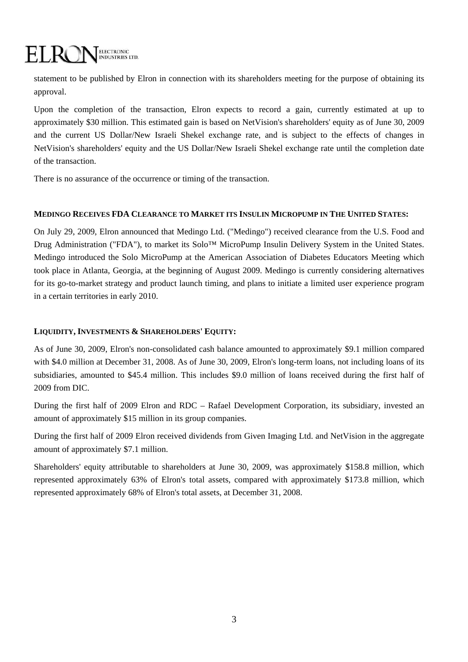## ELECTRONIC<br>INDUSTRIES LTD. EL RC

statement to be published by Elron in connection with its shareholders meeting for the purpose of obtaining its approval.

Upon the completion of the transaction, Elron expects to record a gain, currently estimated at up to approximately \$30 million. This estimated gain is based on NetVision's shareholders' equity as of June 30, 2009 and the current US Dollar/New Israeli Shekel exchange rate, and is subject to the effects of changes in NetVision's shareholders' equity and the US Dollar/New Israeli Shekel exchange rate until the completion date of the transaction.

There is no assurance of the occurrence or timing of the transaction.

#### **MEDINGO RECEIVES FDA CLEARANCE TO MARKET ITS INSULIN MICROPUMP IN THE UNITED STATES:**

On July 29, 2009, Elron announced that Medingo Ltd. ("Medingo") received clearance from the U.S. Food and Drug Administration ("FDA"), to market its Solo™ MicroPump Insulin Delivery System in the United States. Medingo introduced the Solo MicroPump at the American Association of Diabetes Educators Meeting which took place in Atlanta, Georgia, at the beginning of August 2009. Medingo is currently considering alternatives for its go-to-market strategy and product launch timing, and plans to initiate a limited user experience program in a certain territories in early 2010.

#### **LIQUIDITY, INVESTMENTS & SHAREHOLDERS' EQUITY:**

As of June 30, 2009, Elron's non-consolidated cash balance amounted to approximately \$9.1 million compared with \$4.0 million at December 31, 2008. As of June 30, 2009, Elron's long-term loans, not including loans of its subsidiaries, amounted to \$45.4 million. This includes \$9.0 million of loans received during the first half of 2009 from DIC.

During the first half of 2009 Elron and RDC – Rafael Development Corporation, its subsidiary, invested an amount of approximately \$15 million in its group companies.

During the first half of 2009 Elron received dividends from Given Imaging Ltd. and NetVision in the aggregate amount of approximately \$7.1 million.

Shareholders' equity attributable to shareholders at June 30, 2009, was approximately \$158.8 million, which represented approximately 63% of Elron's total assets, compared with approximately \$173.8 million, which represented approximately 68% of Elron's total assets, at December 31, 2008.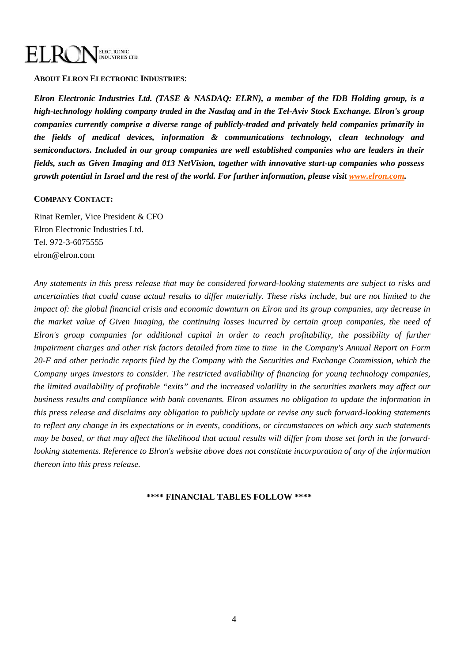### ELECTRONIC<br>INDUSTRIES LTD. EL RC

**ABOUT ELRON ELECTRONIC INDUSTRIES**:

*Elron Electronic Industries Ltd. (TASE & NASDAQ: ELRN), a member of the IDB Holding group, is a high-technology holding company traded in the Nasdaq and in the Tel-Aviv Stock Exchange. Elron's group companies currently comprise a diverse range of publicly-traded and privately held companies primarily in the fields of medical devices, information & communications technology, clean technology and semiconductors. Included in our group companies are well established companies who are leaders in their fields, such as Given Imaging and 013 NetVision, together with innovative start-up companies who possess growth potential in Israel and the rest of the world. For further information, please visit [www.elron.com](http://www.elron.com/).* 

#### **COMPANY CONTACT:**

Rinat Remler, Vice President & CFO Elron Electronic Industries Ltd. Tel. 972-3-6075555 elron@elron.com

*Any statements in this press release that may be considered forward-looking statements are subject to risks and uncertainties that could cause actual results to differ materially. These risks include, but are not limited to the impact of: the global financial crisis and economic downturn on Elron and its group companies, any decrease in the market value of Given Imaging, the continuing losses incurred by certain group companies, the need of Elron's group companies for additional capital in order to reach profitability, the possibility of further impairment charges and other risk factors detailed from time to time in the Company's Annual Report on Form 20-F and other periodic reports filed by the Company with the Securities and Exchange Commission, which the Company urges investors to consider. The restricted availability of financing for young technology companies, the limited availability of profitable "exits" and the increased volatility in the securities markets may affect our business results and compliance with bank covenants. Elron assumes no obligation to update the information in this press release and disclaims any obligation to publicly update or revise any such forward-looking statements to reflect any change in its expectations or in events, conditions, or circumstances on which any such statements may be based, or that may affect the likelihood that actual results will differ from those set forth in the forwardlooking statements. Reference to Elron's website above does not constitute incorporation of any of the information thereon into this press release.* 

#### **\*\*\*\* FINANCIAL TABLES FOLLOW \*\*\*\***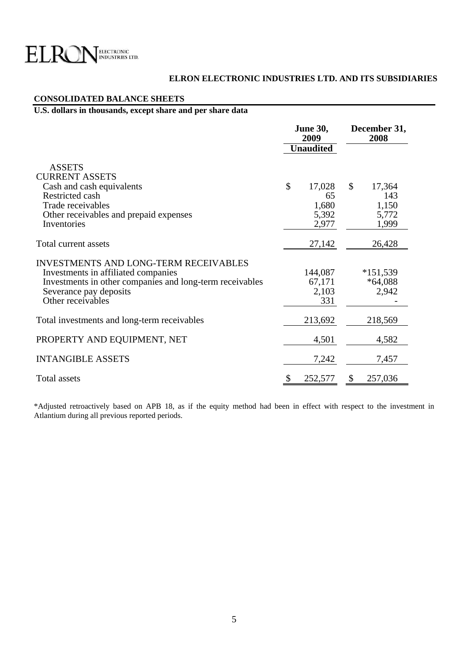

#### **ELRON ELECTRONIC INDUSTRIES LTD. AND ITS SUBSIDIARIES**

#### **CONSOLIDATED BALANCE SHEETS**

### **U.S. dollars in thousands, except share and per share data**

|                                                                                                                                                                                                | <b>June 30,</b><br>2009<br><b>Unaudited</b> |    | December 31,<br>2008             |  |
|------------------------------------------------------------------------------------------------------------------------------------------------------------------------------------------------|---------------------------------------------|----|----------------------------------|--|
| <b>ASSETS</b><br><b>CURRENT ASSETS</b><br>Cash and cash equivalents<br>Restricted cash<br>Trade receivables<br>Other receivables and prepaid expenses                                          | \$<br>17,028<br>65<br>1,680<br>5,392        | \$ | 17,364<br>143<br>1,150<br>5,772  |  |
| Inventories<br>Total current assets                                                                                                                                                            | 2,977<br>27,142                             |    | 1,999<br>26,428                  |  |
| <b>INVESTMENTS AND LONG-TERM RECEIVABLES</b><br>Investments in affiliated companies<br>Investments in other companies and long-term receivables<br>Severance pay deposits<br>Other receivables | 144,087<br>67,171<br>2,103<br>331           |    | $*151,539$<br>$*64,088$<br>2,942 |  |
| Total investments and long-term receivables                                                                                                                                                    | 213,692                                     |    | 218,569                          |  |
| PROPERTY AND EQUIPMENT, NET                                                                                                                                                                    | 4,501                                       |    | 4,582                            |  |
| <b>INTANGIBLE ASSETS</b>                                                                                                                                                                       | 7,242                                       |    | 7,457                            |  |
| Total assets                                                                                                                                                                                   | \$<br>252,577                               | \$ | 257,036                          |  |

\*Adjusted retroactively based on APB 18, as if the equity method had been in effect with respect to the investment in Atlantium during all previous reported periods.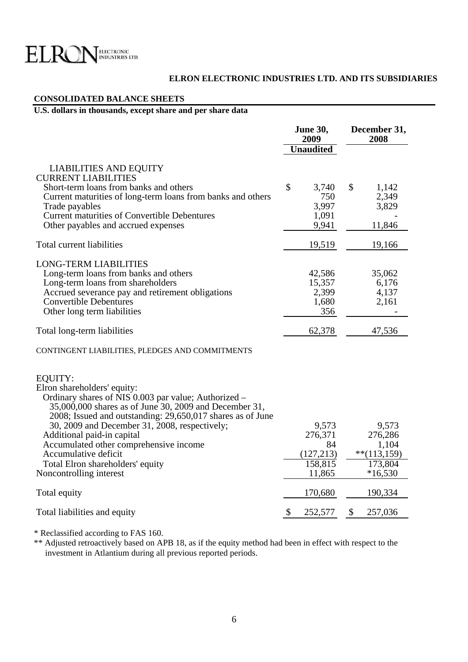

#### **ELRON ELECTRONIC INDUSTRIES LTD. AND ITS SUBSIDIARIES**

#### **CONSOLIDATED BALANCE SHEETS**

### **U.S. dollars in thousands, except share and per share data**

|                                                                                                                                                                                                                        | <b>June 30,</b><br>2009              | December 31,<br>2008                     |  |
|------------------------------------------------------------------------------------------------------------------------------------------------------------------------------------------------------------------------|--------------------------------------|------------------------------------------|--|
|                                                                                                                                                                                                                        | <b>Unaudited</b>                     |                                          |  |
| <b>LIABILITIES AND EQUITY</b><br><b>CURRENT LIABILITIES</b>                                                                                                                                                            |                                      |                                          |  |
| Short-term loans from banks and others<br>Current maturities of long-term loans from banks and others<br>Trade payables                                                                                                | \$<br>3,740<br>750<br>3,997          | $\mathcal{S}$<br>1,142<br>2,349<br>3,829 |  |
| <b>Current maturities of Convertible Debentures</b><br>Other payables and accrued expenses                                                                                                                             | 1,091<br>9,941                       | 11,846                                   |  |
| Total current liabilities                                                                                                                                                                                              | 19,519                               | 19,166                                   |  |
| <b>LONG-TERM LIABILITIES</b><br>Long-term loans from banks and others<br>Long-term loans from shareholders<br>Accrued severance pay and retirement obligations                                                         | 42,586<br>15,357<br>2,399            | 35,062<br>6,176<br>4,137                 |  |
| <b>Convertible Debentures</b><br>Other long term liabilities                                                                                                                                                           | 1,680<br>356                         | 2,161                                    |  |
| Total long-term liabilities                                                                                                                                                                                            | 62,378                               | 47,536                                   |  |
| CONTINGENT LIABILITIES, PLEDGES AND COMMITMENTS                                                                                                                                                                        |                                      |                                          |  |
| EQUITY:<br>Elron shareholders' equity:<br>Ordinary shares of NIS 0.003 par value; Authorized -<br>35,000,000 shares as of June 30, 2009 and December 31,<br>2008; Issued and outstanding: 29,650,017 shares as of June |                                      |                                          |  |
| 30, 2009 and December 31, 2008, respectively;<br>Additional paid-in capital<br>Accumulated other comprehensive income<br>Accumulative deficit                                                                          | 9,573<br>276,371<br>84               | 9,573<br>276,286<br>1,104                |  |
| Total Elron shareholders' equity<br>Noncontrolling interest                                                                                                                                                            | (127,213)<br>158,815<br>11,865       | $**$ (113,159)<br>173,804<br>$*16,530$   |  |
| Total equity                                                                                                                                                                                                           | 170,680                              | 190,334                                  |  |
| Total liabilities and equity                                                                                                                                                                                           | $\boldsymbol{\mathsf{S}}$<br>252,577 | 257,036<br>\$                            |  |

\* Reclassified according to FAS 160.

\*\* Adjusted retroactively based on APB 18, as if the equity method had been in effect with respect to the investment in Atlantium during all previous reported periods.